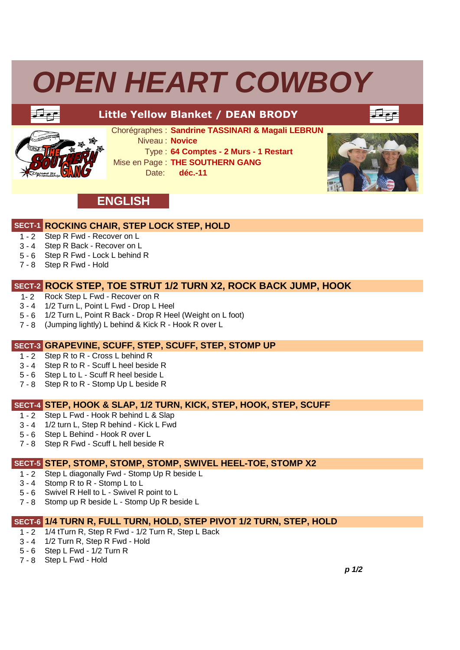## *OPEN HEART COWBOY*



### **Little Yellow Blanket / DEAN BRODY**

عولتا



Chorégraphes : **Sandrine TASSINARI & Magali LEBRUN** 

Niveau : **Novice**

Type : **64 Comptes - 2 Murs - 1 Restart**

Mise en Page : **THE SOUTHERN GANG**

Date: **déc.-11**



## **ENGLISH**

#### **SECT-1 ROCKING CHAIR, STEP LOCK STEP, HOLD**

- $1 2$ Step R Fwd - Recover on L
- $3 4$ Step R Back - Recover on L
- 5 6 Step R Fwd - Lock L behind R
- 7 8 Step R Fwd - Hold

#### **SECT-2 ROCK STEP, TOE STRUT 1/2 TURN X2, ROCK BACK JUMP, HOOK**

- $1 2$ Rock Step L Fwd - Recover on R
- $3 4$ 1/2 Turn L, Point L Fwd - Drop L Heel
- $5 6$ 1/2 Turn L, Point R Back - Drop R Heel (Weight on L foot)
- 7 8 (Jumping lightly) L behind & Kick R - Hook R over L

#### **SECT-3 GRAPEVINE, SCUFF, STEP, SCUFF, STEP, STOMP UP**

- $\overline{1}$  2 Step R to R - Cross L behind R
- 3 4 Step R to R - Scuff L heel beside R
- 5 6 Step L to L - Scuff R heel beside L
- 7 8 Step R to R Stomp Up L beside R

#### **SECT-4 STEP, HOOK & SLAP, 1/2 TURN, KICK, STEP, HOOK, STEP, SCUFF**

- 1 2 Step L Fwd Hook R behind L & Slap
- $3 4$ 1/2 turn L, Step R behind - Kick L Fwd
- 5 6 Step L Behind Hook R over L
- 7 8 Step R Fwd - Scuff L hell beside R

#### **SECT-5 STEP, STOMP, STOMP, STOMP, SWIVEL HEEL-TOE, STOMP X2**

- $1 2$ Step L diagonally Fwd - Stomp Up R beside L
- $3 4$ Stomp R to R - Stomp L to L
- 5 6 Swivel R Hell to L Swivel R point to L
- 7 8 Stomp up R beside L - Stomp Up R beside L

## **SECT-6 1/4 TURN R, FULL TURN, HOLD, STEP PIVOT 1/2 TURN, STEP, HOLD**

- $1 2$ 1/4 tTurn R, Step R Fwd - 1/2 Turn R, Step L Back
- 3 4 1/2 Turn R, Step R Fwd - Hold
- 5 6 Step L Fwd - 1/2 Turn R
- 7 8 Step L Fwd - Hold